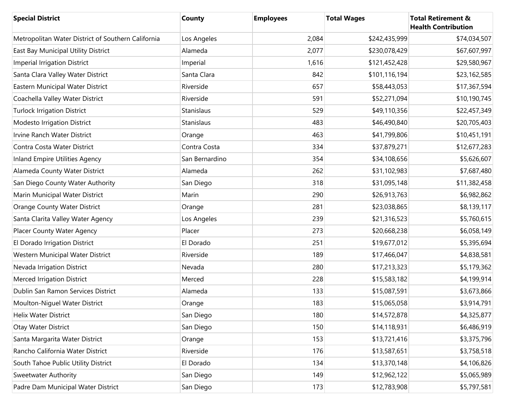| <b>Special District</b>                            | County         | <b>Employees</b> | <b>Total Wages</b> | <b>Total Retirement &amp;</b><br><b>Health Contribution</b> |
|----------------------------------------------------|----------------|------------------|--------------------|-------------------------------------------------------------|
| Metropolitan Water District of Southern California | Los Angeles    | 2,084            | \$242,435,999      | \$74,034,507                                                |
| East Bay Municipal Utility District                | Alameda        | 2,077            | \$230,078,429      | \$67,607,997                                                |
| <b>Imperial Irrigation District</b>                | Imperial       | 1,616            | \$121,452,428      | \$29,580,967                                                |
| Santa Clara Valley Water District                  | Santa Clara    | 842              | \$101,116,194      | \$23,162,585                                                |
| Eastern Municipal Water District                   | Riverside      | 657              | \$58,443,053       | \$17,367,594                                                |
| Coachella Valley Water District                    | Riverside      | 591              | \$52,271,094       | \$10,190,745                                                |
| <b>Turlock Irrigation District</b>                 | Stanislaus     | 529              | \$49,110,356       | \$22,457,349                                                |
| Modesto Irrigation District                        | Stanislaus     | 483              | \$46,490,840       | \$20,705,403                                                |
| Irvine Ranch Water District                        | Orange         | 463              | \$41,799,806       | \$10,451,191                                                |
| Contra Costa Water District                        | Contra Costa   | 334              | \$37,879,271       | \$12,677,283                                                |
| <b>Inland Empire Utilities Agency</b>              | San Bernardino | 354              | \$34,108,656       | \$5,626,607                                                 |
| Alameda County Water District                      | Alameda        | 262              | \$31,102,983       | \$7,687,480                                                 |
| San Diego County Water Authority                   | San Diego      | 318              | \$31,095,148       | \$11,382,458                                                |
| Marin Municipal Water District                     | Marin          | 290              | \$26,913,763       | \$6,982,862                                                 |
| <b>Orange County Water District</b>                | Orange         | 281              | \$23,038,865       | \$8,139,117                                                 |
| Santa Clarita Valley Water Agency                  | Los Angeles    | 239              | \$21,316,523       | \$5,760,615                                                 |
| Placer County Water Agency                         | Placer         | 273              | \$20,668,238       | \$6,058,149                                                 |
| El Dorado Irrigation District                      | El Dorado      | 251              | \$19,677,012       | \$5,395,694                                                 |
| Western Municipal Water District                   | Riverside      | 189              | \$17,466,047       | \$4,838,581                                                 |
| Nevada Irrigation District                         | Nevada         | 280              | \$17,213,323       | \$5,179,362                                                 |
| Merced Irrigation District                         | Merced         | 228              | \$15,583,182       | \$4,199,914                                                 |
| Dublin San Ramon Services District                 | Alameda        | 133              | \$15,087,591       | \$3,673,866                                                 |
| Moulton-Niguel Water District                      | Orange         | 183              | \$15,065,058       | \$3,914,791                                                 |
| Helix Water District                               | San Diego      | 180              | \$14,572,878       | \$4,325,877                                                 |
| Otay Water District                                | San Diego      | 150              | \$14,118,931       | \$6,486,919                                                 |
| Santa Margarita Water District                     | Orange         | 153              | \$13,721,416       | \$3,375,796                                                 |
| Rancho California Water District                   | Riverside      | 176              | \$13,587,651       | \$3,758,518                                                 |
| South Tahoe Public Utility District                | El Dorado      | 134              | \$13,370,148       | \$4,106,826                                                 |
| <b>Sweetwater Authority</b>                        | San Diego      | 149              | \$12,962,122       | \$5,065,989                                                 |
| Padre Dam Municipal Water District                 | San Diego      | 173              | \$12,783,908       | \$5,797,581                                                 |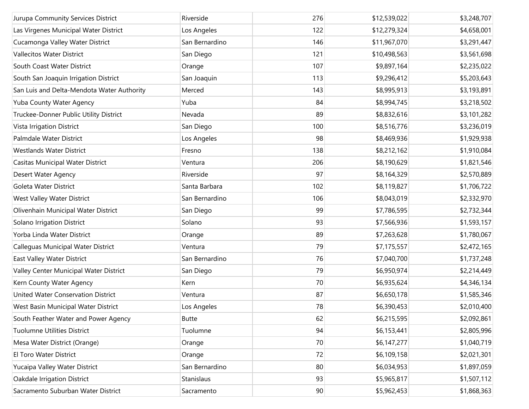| Jurupa Community Services District         | Riverside      | 276 | \$12,539,022 | \$3,248,707 |
|--------------------------------------------|----------------|-----|--------------|-------------|
| Las Virgenes Municipal Water District      | Los Angeles    | 122 | \$12,279,324 | \$4,658,001 |
| Cucamonga Valley Water District            | San Bernardino | 146 | \$11,967,070 | \$3,291,447 |
| <b>Vallecitos Water District</b>           | San Diego      | 121 | \$10,498,563 | \$3,561,698 |
| South Coast Water District                 | Orange         | 107 | \$9,897,164  | \$2,235,022 |
| South San Joaquin Irrigation District      | San Joaquin    | 113 | \$9,296,412  | \$5,203,643 |
| San Luis and Delta-Mendota Water Authority | Merced         | 143 | \$8,995,913  | \$3,193,891 |
| Yuba County Water Agency                   | Yuba           | 84  | \$8,994,745  | \$3,218,502 |
| Truckee-Donner Public Utility District     | Nevada         | 89  | \$8,832,616  | \$3,101,282 |
| Vista Irrigation District                  | San Diego      | 100 | \$8,516,776  | \$3,236,019 |
| Palmdale Water District                    | Los Angeles    | 98  | \$8,469,936  | \$1,929,938 |
| <b>Westlands Water District</b>            |                | 138 |              |             |
|                                            | Fresno         |     | \$8,212,162  | \$1,910,084 |
| Casitas Municipal Water District           | Ventura        | 206 | \$8,190,629  | \$1,821,546 |
| Desert Water Agency                        | Riverside      | 97  | \$8,164,329  | \$2,570,889 |
| Goleta Water District                      | Santa Barbara  | 102 | \$8,119,827  | \$1,706,722 |
| West Valley Water District                 | San Bernardino | 106 | \$8,043,019  | \$2,332,970 |
| Olivenhain Municipal Water District        | San Diego      | 99  | \$7,786,595  | \$2,732,344 |
| Solano Irrigation District                 | Solano         | 93  | \$7,566,936  | \$1,593,157 |
| Yorba Linda Water District                 | Orange         | 89  | \$7,263,628  | \$1,780,067 |
| Calleguas Municipal Water District         | Ventura        | 79  | \$7,175,557  | \$2,472,165 |
| East Valley Water District                 | San Bernardino | 76  | \$7,040,700  | \$1,737,248 |
| Valley Center Municipal Water District     | San Diego      | 79  | \$6,950,974  | \$2,214,449 |
| Kern County Water Agency                   | Kern           | 70  | \$6,935,624  | \$4,346,134 |
| United Water Conservation District         | Ventura        | 87  | \$6,650,178  | \$1,585,346 |
| West Basin Municipal Water District        | Los Angeles    | 78  | \$6,390,453  | \$2,010,400 |
| South Feather Water and Power Agency       | <b>Butte</b>   | 62  | \$6,215,595  | \$2,092,861 |
| <b>Tuolumne Utilities District</b>         | Tuolumne       | 94  | \$6,153,441  | \$2,805,996 |
| Mesa Water District (Orange)               | Orange         | 70  | \$6,147,277  | \$1,040,719 |
| El Toro Water District                     | Orange         | 72  | \$6,109,158  | \$2,021,301 |
| Yucaipa Valley Water District              | San Bernardino | 80  | \$6,034,953  | \$1,897,059 |
| Oakdale Irrigation District                | Stanislaus     | 93  | \$5,965,817  | \$1,507,112 |
| Sacramento Suburban Water District         | Sacramento     | 90  | \$5,962,453  | \$1,868,363 |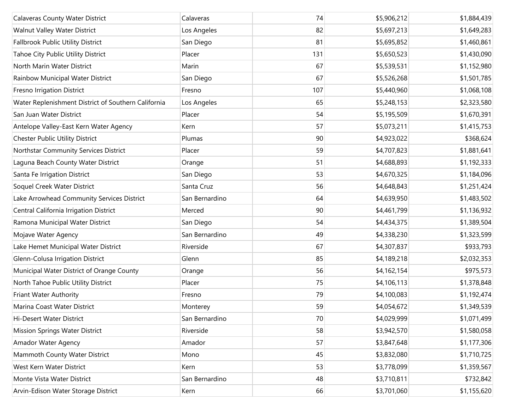| <b>Calaveras County Water District</b>              | Calaveras      | 74  | \$5,906,212 | \$1,884,439 |
|-----------------------------------------------------|----------------|-----|-------------|-------------|
| Walnut Valley Water District                        | Los Angeles    | 82  | \$5,697,213 | \$1,649,283 |
| <b>Fallbrook Public Utility District</b>            | San Diego      | 81  | \$5,695,852 | \$1,460,861 |
| Tahoe City Public Utility District                  | Placer         | 131 | \$5,650,523 | \$1,430,090 |
| North Marin Water District                          | Marin          | 67  | \$5,539,531 | \$1,152,980 |
| Rainbow Municipal Water District                    | San Diego      | 67  | \$5,526,268 | \$1,501,785 |
| Fresno Irrigation District                          | Fresno         | 107 | \$5,440,960 | \$1,068,108 |
| Water Replenishment District of Southern California | Los Angeles    | 65  | \$5,248,153 | \$2,323,580 |
| San Juan Water District                             | Placer         | 54  | \$5,195,509 | \$1,670,391 |
| Antelope Valley-East Kern Water Agency              | Kern           | 57  | \$5,073,211 | \$1,415,753 |
| Chester Public Utility District                     | Plumas         | 90  | \$4,923,022 | \$368,624   |
| Northstar Community Services District               | Placer         | 59  | \$4,707,823 | \$1,881,641 |
| Laguna Beach County Water District                  | Orange         | 51  | \$4,688,893 | \$1,192,333 |
| Santa Fe Irrigation District                        | San Diego      | 53  | \$4,670,325 | \$1,184,096 |
| Soquel Creek Water District                         | Santa Cruz     | 56  | \$4,648,843 | \$1,251,424 |
| Lake Arrowhead Community Services District          | San Bernardino | 64  | \$4,639,950 | \$1,483,502 |
| Central California Irrigation District              | Merced         | 90  | \$4,461,799 | \$1,136,932 |
| Ramona Municipal Water District                     | San Diego      | 54  | \$4,434,375 | \$1,389,504 |
| Mojave Water Agency                                 | San Bernardino | 49  | \$4,338,230 | \$1,323,599 |
| Lake Hemet Municipal Water District                 | Riverside      | 67  | \$4,307,837 | \$933,793   |
| Glenn-Colusa Irrigation District                    | Glenn          | 85  | \$4,189,218 | \$2,032,353 |
| Municipal Water District of Orange County           | Orange         | 56  | \$4,162,154 | \$975,573   |
| North Tahoe Public Utility District                 | Placer         | 75  | \$4,106,113 | \$1,378,848 |
| Friant Water Authority                              | Fresno         | 79  | \$4,100,083 | \$1,192,474 |
| Marina Coast Water District                         | Monterey       | 59  | \$4,054,672 | \$1,349,539 |
| Hi-Desert Water District                            | San Bernardino | 70  | \$4,029,999 | \$1,071,499 |
| Mission Springs Water District                      | Riverside      | 58  | \$3,942,570 | \$1,580,058 |
| Amador Water Agency                                 | Amador         | 57  | \$3,847,648 | \$1,177,306 |
| Mammoth County Water District                       | Mono           | 45  | \$3,832,080 | \$1,710,725 |
| West Kern Water District                            | Kern           | 53  | \$3,778,099 | \$1,359,567 |
| Monte Vista Water District                          | San Bernardino | 48  | \$3,710,811 | \$732,842   |
| Arvin-Edison Water Storage District                 | Kern           | 66  | \$3,701,060 | \$1,155,620 |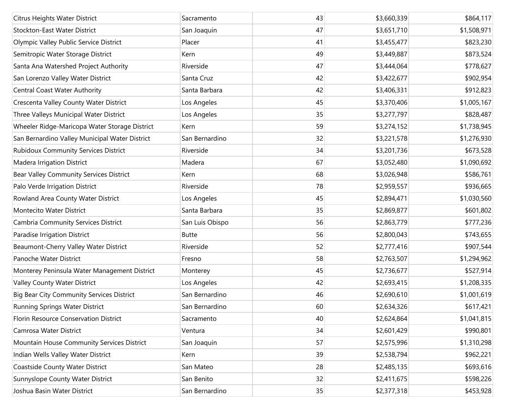| Citrus Heights Water District                    | Sacramento      | 43 | \$3,660,339 | \$864,117   |
|--------------------------------------------------|-----------------|----|-------------|-------------|
| Stockton-East Water District                     | San Joaquin     | 47 | \$3,651,710 | \$1,508,971 |
| Olympic Valley Public Service District           | Placer          | 41 | \$3,455,477 | \$823,230   |
| Semitropic Water Storage District                | Kern            | 49 | \$3,449,887 | \$873,524   |
| Santa Ana Watershed Project Authority            | Riverside       | 47 | \$3,444,064 | \$778,627   |
| San Lorenzo Valley Water District                | Santa Cruz      | 42 | \$3,422,677 | \$902,954   |
| Central Coast Water Authority                    | Santa Barbara   | 42 | \$3,406,331 | \$912,823   |
| Crescenta Valley County Water District           | Los Angeles     | 45 | \$3,370,406 | \$1,005,167 |
| Three Valleys Municipal Water District           | Los Angeles     | 35 | \$3,277,797 | \$828,487   |
| Wheeler Ridge-Maricopa Water Storage District    | Kern            | 59 | \$3,274,152 | \$1,738,945 |
| San Bernardino Valley Municipal Water District   | San Bernardino  | 32 | \$3,221,578 | \$1,276,930 |
| <b>Rubidoux Community Services District</b>      | Riverside       | 34 | \$3,201,736 | \$673,528   |
| Madera Irrigation District                       | Madera          | 67 | \$3,052,480 | \$1,090,692 |
| Bear Valley Community Services District          | Kern            | 68 | \$3,026,948 | \$586,761   |
| Palo Verde Irrigation District                   | Riverside       | 78 | \$2,959,557 | \$936,665   |
| Rowland Area County Water District               | Los Angeles     | 45 | \$2,894,471 | \$1,030,560 |
| Montecito Water District                         | Santa Barbara   | 35 | \$2,869,877 | \$601,802   |
| Cambria Community Services District              | San Luis Obispo | 56 | \$2,863,779 | \$777,236   |
| Paradise Irrigation District                     | <b>Butte</b>    | 56 | \$2,800,043 | \$743,655   |
| Beaumont-Cherry Valley Water District            | Riverside       | 52 | \$2,777,416 | \$907,544   |
| Panoche Water District                           | Fresno          | 58 | \$2,763,507 | \$1,294,962 |
| Monterey Peninsula Water Management District     | Monterey        | 45 | \$2,736,677 | \$527,914   |
| Valley County Water District                     | Los Angeles     | 42 | \$2,693,415 | \$1,208,335 |
| <b>Big Bear City Community Services District</b> | San Bernardino  | 46 | \$2,690,610 | \$1,001,619 |
| Running Springs Water District                   | San Bernardino  | 60 | \$2,634,326 | \$617,421   |
| Florin Resource Conservation District            | Sacramento      | 40 | \$2,624,864 | \$1,041,815 |
| Camrosa Water District                           | Ventura         | 34 | \$2,601,429 | \$990,801   |
| Mountain House Community Services District       | San Joaquin     | 57 | \$2,575,996 | \$1,310,298 |
| Indian Wells Valley Water District               | Kern            | 39 | \$2,538,794 | \$962,221   |
| Coastside County Water District                  | San Mateo       | 28 | \$2,485,135 | \$693,616   |
| Sunnyslope County Water District                 | San Benito      | 32 | \$2,411,675 | \$598,226   |
| Joshua Basin Water District                      | San Bernardino  | 35 | \$2,377,318 | \$453,928   |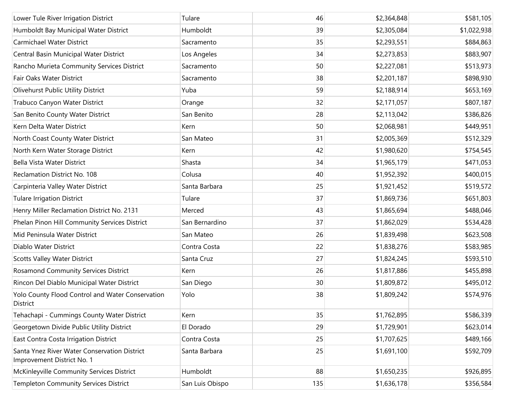| Lower Tule River Irrigation District                                       | Tulare          | 46  | \$2,364,848 | \$581,105   |
|----------------------------------------------------------------------------|-----------------|-----|-------------|-------------|
| Humboldt Bay Municipal Water District                                      | Humboldt        | 39  | \$2,305,084 | \$1,022,938 |
| Carmichael Water District                                                  | Sacramento      | 35  | \$2,293,551 | \$884,863   |
| Central Basin Municipal Water District                                     | Los Angeles     | 34  | \$2,273,853 | \$883,907   |
| Rancho Murieta Community Services District                                 | Sacramento      | 50  | \$2,227,081 | \$513,973   |
| Fair Oaks Water District                                                   | Sacramento      | 38  | \$2,201,187 | \$898,930   |
| Olivehurst Public Utility District                                         | Yuba            | 59  | \$2,188,914 | \$653,169   |
| Trabuco Canyon Water District                                              | Orange          | 32  | \$2,171,057 | \$807,187   |
| San Benito County Water District                                           | San Benito      | 28  | \$2,113,042 | \$386,826   |
| Kern Delta Water District                                                  | Kern            | 50  | \$2,068,981 | \$449,951   |
| North Coast County Water District                                          | San Mateo       | 31  | \$2,005,369 | \$512,329   |
| North Kern Water Storage District                                          | Kern            | 42  | \$1,980,620 | \$754,545   |
| Bella Vista Water District                                                 | Shasta          | 34  | \$1,965,179 | \$471,053   |
| Reclamation District No. 108                                               | Colusa          | 40  | \$1,952,392 | \$400,015   |
| Carpinteria Valley Water District                                          | Santa Barbara   | 25  | \$1,921,452 | \$519,572   |
| <b>Tulare Irrigation District</b>                                          | Tulare          | 37  | \$1,869,736 | \$651,803   |
| Henry Miller Reclamation District No. 2131                                 | Merced          | 43  | \$1,865,694 | \$488,046   |
| Phelan Pinon Hill Community Services District                              | San Bernardino  | 37  | \$1,862,029 | \$534,428   |
| Mid Peninsula Water District                                               | San Mateo       | 26  | \$1,839,498 | \$623,508   |
| Diablo Water District                                                      | Contra Costa    | 22  | \$1,838,276 | \$583,985   |
| <b>Scotts Valley Water District</b>                                        | Santa Cruz      | 27  | \$1,824,245 | \$593,510   |
| Rosamond Community Services District                                       | Kern            | 26  | \$1,817,886 | \$455,898   |
| Rincon Del Diablo Municipal Water District                                 | San Diego       | 30  | \$1,809,872 | \$495,012   |
| Yolo County Flood Control and Water Conservation<br>District               | Yolo            | 38  | \$1,809,242 | \$574,976   |
| Tehachapi - Cummings County Water District                                 | Kern            | 35  | \$1,762,895 | \$586,339   |
| Georgetown Divide Public Utility District                                  | El Dorado       | 29  | \$1,729,901 | \$623,014   |
| East Contra Costa Irrigation District                                      | Contra Costa    | 25  | \$1,707,625 | \$489,166   |
| Santa Ynez River Water Conservation District<br>Improvement District No. 1 | Santa Barbara   | 25  | \$1,691,100 | \$592,709   |
| McKinleyville Community Services District                                  | Humboldt        | 88  | \$1,650,235 | \$926,895   |
| <b>Templeton Community Services District</b>                               | San Luis Obispo | 135 | \$1,636,178 | \$356,584   |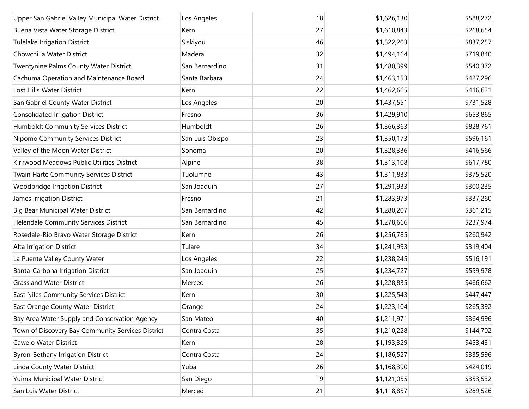| Upper San Gabriel Valley Municipal Water District | Los Angeles     | 18 | \$1,626,130 | \$588,272 |
|---------------------------------------------------|-----------------|----|-------------|-----------|
| Buena Vista Water Storage District                | Kern            | 27 | \$1,610,843 | \$268,654 |
| <b>Tulelake Irrigation District</b>               | Siskiyou        | 46 | \$1,522,203 | \$837,257 |
| Chowchilla Water District                         | Madera          | 32 | \$1,494,164 | \$719,840 |
| Twentynine Palms County Water District            | San Bernardino  | 31 | \$1,480,399 | \$540,372 |
| Cachuma Operation and Maintenance Board           | Santa Barbara   | 24 | \$1,463,153 | \$427,296 |
| Lost Hills Water District                         | Kern            | 22 | \$1,462,665 | \$416,621 |
| San Gabriel County Water District                 | Los Angeles     | 20 | \$1,437,551 | \$731,528 |
| <b>Consolidated Irrigation District</b>           | Fresno          | 36 | \$1,429,910 | \$653,865 |
| Humboldt Community Services District              | Humboldt        | 26 | \$1,366,363 | \$828,761 |
| Nipomo Community Services District                | San Luis Obispo | 23 | \$1,350,173 | \$596,161 |
| Valley of the Moon Water District                 | Sonoma          | 20 | \$1,328,336 | \$416,566 |
| Kirkwood Meadows Public Utilities District        | Alpine          | 38 | \$1,313,108 | \$617,780 |
| Twain Harte Community Services District           | Tuolumne        | 43 | \$1,311,833 | \$375,520 |
| Woodbridge Irrigation District                    | San Joaquin     | 27 | \$1,291,933 | \$300,235 |
| James Irrigation District                         | Fresno          | 21 | \$1,283,973 | \$337,260 |
| <b>Big Bear Municipal Water District</b>          | San Bernardino  | 42 | \$1,280,207 | \$361,215 |
| Helendale Community Services District             | San Bernardino  | 45 | \$1,278,666 | \$237,974 |
| Rosedale-Rio Bravo Water Storage District         | Kern            | 26 | \$1,256,785 | \$260,942 |
| Alta Irrigation District                          | Tulare          | 34 | \$1,241,993 | \$319,404 |
| La Puente Valley County Water                     | Los Angeles     | 22 | \$1,238,245 | \$516,191 |
| Banta-Carbona Irrigation District                 | San Joaquin     | 25 | \$1,234,727 | \$559,978 |
| <b>Grassland Water District</b>                   | Merced          | 26 | \$1,228,835 | \$466,662 |
| East Niles Community Services District            | Kern            | 30 | \$1,225,543 | \$447,447 |
| East Orange County Water District                 | Orange          | 24 | \$1,223,104 | \$265,392 |
| Bay Area Water Supply and Conservation Agency     | San Mateo       | 40 | \$1,211,971 | \$364,996 |
| Town of Discovery Bay Community Services District | Contra Costa    | 35 | \$1,210,228 | \$144,702 |
| Cawelo Water District                             | Kern            | 28 | \$1,193,329 | \$453,431 |
| Byron-Bethany Irrigation District                 | Contra Costa    | 24 | \$1,186,527 | \$335,596 |
| Linda County Water District                       | Yuba            | 26 | \$1,168,390 | \$424,019 |
| Yuima Municipal Water District                    | San Diego       | 19 | \$1,121,055 | \$353,532 |
| San Luis Water District                           | Merced          | 21 | \$1,118,857 | \$289,526 |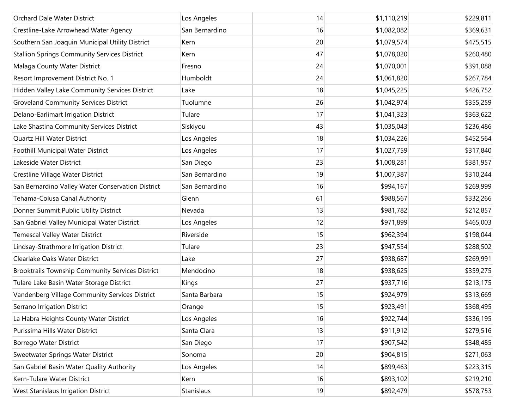| Orchard Dale Water District                             | Los Angeles    | 14 | \$1,110,219 | \$229,811 |
|---------------------------------------------------------|----------------|----|-------------|-----------|
| Crestline-Lake Arrowhead Water Agency                   | San Bernardino | 16 | \$1,082,082 | \$369,631 |
| Southern San Joaquin Municipal Utility District         | Kern           | 20 | \$1,079,574 | \$475,515 |
| <b>Stallion Springs Community Services District</b>     | Kern           | 47 | \$1,078,020 | \$260,480 |
| Malaga County Water District                            | Fresno         | 24 | \$1,070,001 | \$391,088 |
| Resort Improvement District No. 1                       | Humboldt       | 24 | \$1,061,820 | \$267,784 |
| Hidden Valley Lake Community Services District          | Lake           | 18 | \$1,045,225 | \$426,752 |
| <b>Groveland Community Services District</b>            | Tuolumne       | 26 | \$1,042,974 | \$355,259 |
| Delano-Earlimart Irrigation District                    | Tulare         | 17 | \$1,041,323 | \$363,622 |
| Lake Shastina Community Services District               | Siskiyou       | 43 | \$1,035,043 | \$236,486 |
| Quartz Hill Water District                              | Los Angeles    | 18 | \$1,034,226 | \$452,564 |
| Foothill Municipal Water District                       | Los Angeles    | 17 | \$1,027,759 | \$317,840 |
| Lakeside Water District                                 | San Diego      | 23 | \$1,008,281 | \$381,957 |
| Crestline Village Water District                        | San Bernardino | 19 | \$1,007,387 | \$310,244 |
| San Bernardino Valley Water Conservation District       | San Bernardino | 16 | \$994,167   | \$269,999 |
| Tehama-Colusa Canal Authority                           | Glenn          | 61 | \$988,567   | \$332,266 |
| Donner Summit Public Utility District                   | Nevada         | 13 | \$981,782   | \$212,857 |
| San Gabriel Valley Municipal Water District             | Los Angeles    | 12 | \$971,899   | \$465,003 |
| <b>Temescal Valley Water District</b>                   | Riverside      | 15 | \$962,394   | \$198,044 |
| Lindsay-Strathmore Irrigation District                  | Tulare         | 23 | \$947,554   | \$288,502 |
| Clearlake Oaks Water District                           | Lake           | 27 | \$938,687   | \$269,991 |
| <b>Brooktrails Township Community Services District</b> | Mendocino      | 18 | \$938,625   | \$359,275 |
| Tulare Lake Basin Water Storage District                | Kings          | 27 | \$937,716   | \$213,175 |
| Vandenberg Village Community Services District          | Santa Barbara  | 15 | \$924,979   | \$313,669 |
| Serrano Irrigation District                             | Orange         | 15 | \$923,491   | \$368,495 |
| La Habra Heights County Water District                  | Los Angeles    | 16 | \$922,744   | \$336,195 |
| Purissima Hills Water District                          | Santa Clara    | 13 | \$911,912   | \$279,516 |
| Borrego Water District                                  | San Diego      | 17 | \$907,542   | \$348,485 |
| Sweetwater Springs Water District                       | Sonoma         | 20 | \$904,815   | \$271,063 |
| San Gabriel Basin Water Quality Authority               | Los Angeles    | 14 | \$899,463   | \$223,315 |
| Kern-Tulare Water District                              | Kern           | 16 | \$893,102   | \$219,210 |
| West Stanislaus Irrigation District                     | Stanislaus     | 19 | \$892,479   | \$578,753 |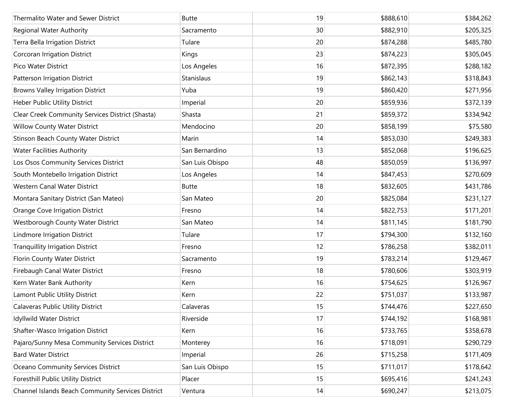| Thermalito Water and Sewer District               | <b>Butte</b>    | 19 | \$888,610 | \$384,262 |
|---------------------------------------------------|-----------------|----|-----------|-----------|
| <b>Regional Water Authority</b>                   | Sacramento      | 30 | \$882,910 | \$205,325 |
| Terra Bella Irrigation District                   | Tulare          | 20 | \$874,288 | \$485,780 |
| Corcoran Irrigation District                      | Kings           | 23 | \$874,223 | \$305,045 |
| Pico Water District                               | Los Angeles     | 16 | \$872,395 | \$288,182 |
| Patterson Irrigation District                     | Stanislaus      | 19 | \$862,143 | \$318,843 |
| <b>Browns Valley Irrigation District</b>          | Yuba            | 19 | \$860,420 | \$271,956 |
| Heber Public Utility District                     | Imperial        | 20 | \$859,936 | \$372,139 |
| Clear Creek Community Services District (Shasta)  | Shasta          | 21 | \$859,372 | \$334,942 |
| Willow County Water District                      | Mendocino       | 20 | \$858,199 | \$75,580  |
| Stinson Beach County Water District               | Marin           | 14 | \$853,030 | \$249,383 |
| <b>Water Facilities Authority</b>                 | San Bernardino  | 13 | \$852,068 | \$196,625 |
| Los Osos Community Services District              | San Luis Obispo | 48 | \$850,059 | \$136,997 |
| South Montebello Irrigation District              | Los Angeles     | 14 | \$847,453 | \$270,609 |
| Western Canal Water District                      | <b>Butte</b>    | 18 | \$832,605 | \$431,786 |
| Montara Sanitary District (San Mateo)             | San Mateo       | 20 | \$825,084 | \$231,127 |
| Orange Cove Irrigation District                   | Fresno          | 14 | \$822,753 | \$171,201 |
| Westborough County Water District                 | San Mateo       | 14 | \$811,145 | \$181,790 |
| Lindmore Irrigation District                      | Tulare          | 17 | \$794,300 | \$132,160 |
| <b>Tranquillity Irrigation District</b>           | Fresno          | 12 | \$786,258 | \$382,011 |
| Florin County Water District                      | Sacramento      | 19 | \$783,214 | \$129,467 |
| Firebaugh Canal Water District                    | Fresno          | 18 | \$780,606 | \$303,919 |
| Kern Water Bank Authority                         | Kern            | 16 | \$754,625 | \$126,967 |
| Lamont Public Utility District                    | Kern            | 22 | \$751,037 | \$133,987 |
| <b>Calaveras Public Utility District</b>          | Calaveras       | 15 | \$744,476 | \$227,650 |
| Idyllwild Water District                          | Riverside       | 17 | \$744,192 | \$168,981 |
| Shafter-Wasco Irrigation District                 | Kern            | 16 | \$733,765 | \$358,678 |
| Pajaro/Sunny Mesa Community Services District     | Monterey        | 16 | \$718,091 | \$290,729 |
| <b>Bard Water District</b>                        | Imperial        | 26 | \$715,258 | \$171,409 |
| Oceano Community Services District                | San Luis Obispo | 15 | \$711,017 | \$178,642 |
| Foresthill Public Utility District                | Placer          | 15 | \$695,416 | \$241,243 |
| Channel Islands Beach Community Services District | Ventura         | 14 | \$690,247 | \$213,075 |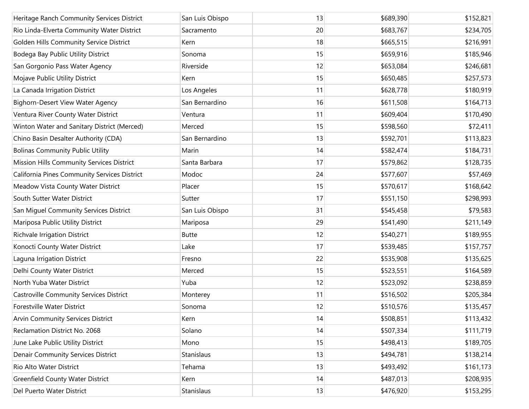| Heritage Ranch Community Services District     | San Luis Obispo   | 13 | \$689,390 | \$152,821 |
|------------------------------------------------|-------------------|----|-----------|-----------|
| Rio Linda-Elverta Community Water District     | Sacramento        | 20 | \$683,767 | \$234,705 |
| Golden Hills Community Service District        | Kern              | 18 | \$665,515 | \$216,991 |
| Bodega Bay Public Utility District             | Sonoma            | 15 | \$659,916 | \$185,946 |
| San Gorgonio Pass Water Agency                 | Riverside         | 12 | \$653,084 | \$246,681 |
| Mojave Public Utility District                 | Kern              | 15 | \$650,485 | \$257,573 |
| La Canada Irrigation District                  | Los Angeles       | 11 | \$628,778 | \$180,919 |
| <b>Bighorn-Desert View Water Agency</b>        | San Bernardino    | 16 | \$611,508 | \$164,713 |
| Ventura River County Water District            | Ventura           | 11 | \$609,404 | \$170,490 |
| Winton Water and Sanitary District (Merced)    | Merced            | 15 | \$598,560 | \$72,411  |
| Chino Basin Desalter Authority (CDA)           | San Bernardino    | 13 | \$592,701 | \$113,823 |
| <b>Bolinas Community Public Utility</b>        | Marin             | 14 | \$582,474 | \$184,731 |
| Mission Hills Community Services District      | Santa Barbara     | 17 | \$579,862 | \$128,735 |
| California Pines Community Services District   | Modoc             | 24 | \$577,607 | \$57,469  |
| Meadow Vista County Water District             | Placer            | 15 | \$570,617 | \$168,642 |
| South Sutter Water District                    | Sutter            | 17 | \$551,150 | \$298,993 |
| San Miguel Community Services District         | San Luis Obispo   | 31 | \$545,458 | \$79,583  |
| Mariposa Public Utility District               | Mariposa          | 29 | \$541,490 | \$211,149 |
| Richvale Irrigation District                   | <b>Butte</b>      | 12 | \$540,271 | \$189,955 |
| Konocti County Water District                  | Lake              | 17 | \$539,485 | \$157,757 |
| Laguna Irrigation District                     | Fresno            | 22 | \$535,908 | \$135,625 |
| Delhi County Water District                    | Merced            | 15 | \$523,551 | \$164,589 |
| North Yuba Water District                      | Yuba              | 12 | \$523,092 | \$238,859 |
| <b>Castroville Community Services District</b> | Monterey          | 11 | \$516,502 | \$205,384 |
| Forestville Water District                     | Sonoma            | 12 | \$510,576 | \$135,457 |
| <b>Arvin Community Services District</b>       | Kern              | 14 | \$508,851 | \$113,432 |
| Reclamation District No. 2068                  | Solano            | 14 | \$507,334 | \$111,719 |
| June Lake Public Utility District              | Mono              | 15 | \$498,413 | \$189,705 |
| <b>Denair Community Services District</b>      | <b>Stanislaus</b> | 13 | \$494,781 | \$138,214 |
| Rio Alto Water District                        | Tehama            | 13 | \$493,492 | \$161,173 |
| <b>Greenfield County Water District</b>        | Kern              | 14 | \$487,013 | \$208,935 |
| Del Puerto Water District                      | Stanislaus        | 13 | \$476,920 | \$153,295 |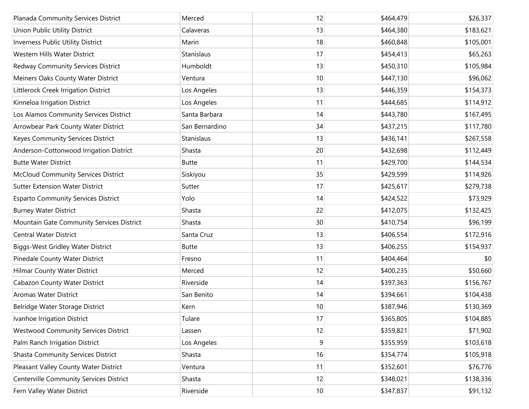| Planada Community Services District         | Merced         | 12 | \$464,479 | \$26,337  |
|---------------------------------------------|----------------|----|-----------|-----------|
| Union Public Utility District               | Calaveras      | 13 | \$464,380 | \$183,621 |
| Inverness Public Utility District           | Marin          | 18 | \$460,848 | \$105,001 |
| Western Hills Water District                | Stanislaus     | 17 | \$454,413 | \$65,263  |
| Redway Community Services District          | Humboldt       | 13 | \$450,310 | \$105,984 |
| Meiners Oaks County Water District          | Ventura        | 10 | \$447,130 | \$96,062  |
| Littlerock Creek Irrigation District        | Los Angeles    | 13 | \$446,359 | \$154,373 |
| Kinneloa Irrigation District                | Los Angeles    | 11 | \$444,685 | \$114,912 |
| Los Alamos Community Services District      | Santa Barbara  | 14 | \$443,780 | \$167,495 |
| Arrowbear Park County Water District        | San Bernardino | 34 | \$437,215 | \$117,780 |
| Keyes Community Services District           | Stanislaus     | 13 | \$436,141 | \$267,558 |
| Anderson-Cottonwood Irrigation District     | Shasta         | 20 | \$432,698 | \$112,449 |
| <b>Butte Water District</b>                 | <b>Butte</b>   | 11 | \$429,700 | \$144,534 |
| <b>McCloud Community Services District</b>  | Siskiyou       | 35 | \$429,599 | \$114,926 |
| <b>Sutter Extension Water District</b>      | Sutter         | 17 | \$425,617 | \$279,738 |
| <b>Esparto Community Services District</b>  | Yolo           | 14 | \$424,522 | \$73,929  |
| <b>Burney Water District</b>                | Shasta         | 22 | \$412,075 | \$132,425 |
| Mountain Gate Community Services District   | Shasta         | 30 | \$410,754 | \$96,199  |
| <b>Central Water District</b>               | Santa Cruz     | 13 | \$406,554 | \$172,916 |
| <b>Biggs-West Gridley Water District</b>    | <b>Butte</b>   | 13 | \$406,255 | \$154,937 |
| Pinedale County Water District              | Fresno         | 11 | \$404,464 | \$0       |
| Hilmar County Water District                | Merced         | 12 | \$400,235 | \$50,660  |
| Cabazon County Water District               | Riverside      | 14 | \$397,363 | \$156,767 |
| <b>Aromas Water District</b>                | San Benito     | 14 | \$394,661 | \$104,438 |
| Belridge Water Storage District             | Kern           | 10 | \$387,946 | \$130,369 |
| Ivanhoe Irrigation District                 | Tulare         | 17 | \$365,805 | \$104,885 |
| <b>Westwood Community Services District</b> | Lassen         | 12 | \$359,821 | \$71,902  |
| Palm Ranch Irrigation District              | Los Angeles    | 9  | \$355,959 | \$103,618 |
| <b>Shasta Community Services District</b>   | Shasta         | 16 | \$354,774 | \$105,918 |
| Pleasant Valley County Water District       | Ventura        | 11 | \$352,601 | \$76,776  |
| Centerville Community Services District     | Shasta         | 12 | \$348,021 | \$138,336 |
| Fern Valley Water District                  | Riverside      | 10 | \$347,837 | \$91,132  |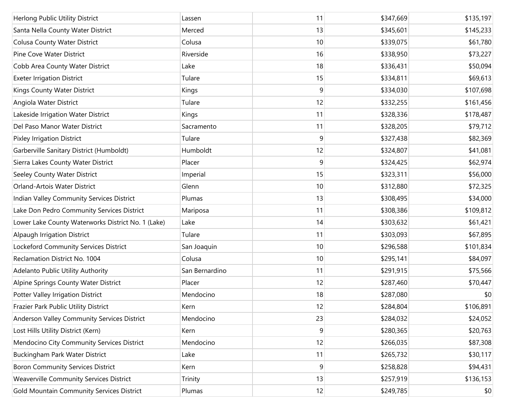| Herlong Public Utility District                    | Lassen         | 11 | \$347,669 | \$135,197 |
|----------------------------------------------------|----------------|----|-----------|-----------|
| Santa Nella County Water District                  | Merced         | 13 | \$345,601 | \$145,233 |
| <b>Colusa County Water District</b>                | Colusa         | 10 | \$339,075 | \$61,780  |
| Pine Cove Water District                           | Riverside      | 16 | \$338,950 | \$73,227  |
| Cobb Area County Water District                    | Lake           | 18 | \$336,431 | \$50,094  |
| <b>Exeter Irrigation District</b>                  | Tulare         | 15 | \$334,811 | \$69,613  |
| Kings County Water District                        | Kings          | 9  | \$334,030 | \$107,698 |
| Angiola Water District                             | Tulare         | 12 | \$332,255 | \$161,456 |
| Lakeside Irrigation Water District                 | Kings          | 11 | \$328,336 | \$178,487 |
| Del Paso Manor Water District                      | Sacramento     | 11 | \$328,205 | \$79,712  |
| <b>Pixley Irrigation District</b>                  | Tulare         | 9  | \$327,438 | \$82,369  |
| Garberville Sanitary District (Humboldt)           | Humboldt       | 12 | \$324,807 | \$41,081  |
| Sierra Lakes County Water District                 | Placer         | 9  | \$324,425 | \$62,974  |
| Seeley County Water District                       | Imperial       | 15 | \$323,311 | \$56,000  |
| Orland-Artois Water District                       | Glenn          | 10 | \$312,880 | \$72,325  |
| Indian Valley Community Services District          | Plumas         | 13 | \$308,495 | \$34,000  |
| Lake Don Pedro Community Services District         | Mariposa       | 11 | \$308,386 | \$109,812 |
| Lower Lake County Waterworks District No. 1 (Lake) | Lake           | 14 | \$303,632 | \$61,421  |
| <b>Alpaugh Irrigation District</b>                 | Tulare         | 11 | \$303,093 | \$67,895  |
| Lockeford Community Services District              | San Joaquin    | 10 | \$296,588 | \$101,834 |
| Reclamation District No. 1004                      | Colusa         | 10 | \$295,141 | \$84,097  |
| Adelanto Public Utility Authority                  | San Bernardino | 11 | \$291,915 | \$75,566  |
| Alpine Springs County Water District               | Placer         | 12 | \$287,460 | \$70,447  |
| Potter Valley Irrigation District                  | Mendocino      | 18 | \$287,080 | \$0       |
| Frazier Park Public Utility District               | Kern           | 12 | \$284,804 | \$106,891 |
| Anderson Valley Community Services District        | Mendocino      | 23 | \$284,032 | \$24,052  |
| Lost Hills Utility District (Kern)                 | Kern           | 9  | \$280,365 | \$20,763  |
| Mendocino City Community Services District         | Mendocino      | 12 | \$266,035 | \$87,308  |
| Buckingham Park Water District                     | Lake           | 11 | \$265,732 | \$30,117  |
| <b>Boron Community Services District</b>           | Kern           | 9  | \$258,828 | \$94,431  |
| Weaverville Community Services District            | Trinity        | 13 | \$257,919 | \$136,153 |
| Gold Mountain Community Services District          | Plumas         | 12 | \$249,785 | \$0       |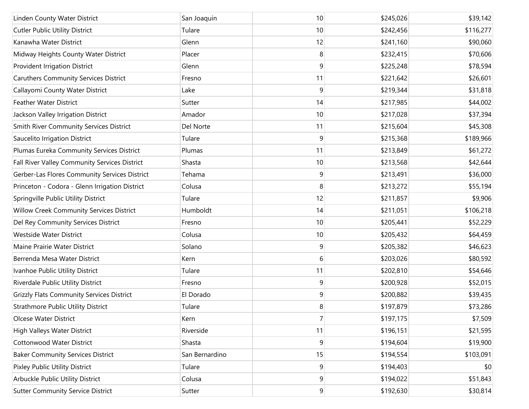| Linden County Water District                     | San Joaquin    | 10             | \$245,026 | \$39,142  |
|--------------------------------------------------|----------------|----------------|-----------|-----------|
| <b>Cutler Public Utility District</b>            | Tulare         | 10             | \$242,456 | \$116,277 |
| Kanawha Water District                           | Glenn          | 12             | \$241,160 | \$90,060  |
| Midway Heights County Water District             | Placer         | 8              | \$232,415 | \$70,606  |
| Provident Irrigation District                    | Glenn          | 9              | \$225,248 | \$78,594  |
| <b>Caruthers Community Services District</b>     | Fresno         | 11             | \$221,642 | \$26,601  |
| Callayomi County Water District                  | Lake           | 9              | \$219,344 | \$31,818  |
| <b>Feather Water District</b>                    | Sutter         | 14             | \$217,985 | \$44,002  |
| Jackson Valley Irrigation District               | Amador         | 10             | \$217,028 | \$37,394  |
| Smith River Community Services District          | Del Norte      | 11             | \$215,604 | \$45,308  |
| Saucelito Irrigation District                    | Tulare         | 9              | \$215,368 | \$189,966 |
| Plumas Eureka Community Services District        | Plumas         | 11             | \$213,849 | \$61,272  |
| Fall River Valley Community Services District    | Shasta         | 10             | \$213,568 | \$42,644  |
| Gerber-Las Flores Community Services District    | Tehama         | 9              | \$213,491 | \$36,000  |
| Princeton - Codora - Glenn Irrigation District   | Colusa         | 8              | \$213,272 | \$55,194  |
| Springville Public Utility District              | Tulare         | 12             | \$211,857 | \$9,906   |
| Willow Creek Community Services District         | Humboldt       | 14             | \$211,051 | \$106,218 |
| Del Rey Community Services District              | Fresno         | 10             | \$205,441 | \$52,229  |
| Westside Water District                          | Colusa         | 10             | \$205,432 | \$64,459  |
| Maine Prairie Water District                     | Solano         | 9              | \$205,382 | \$46,623  |
| Berrenda Mesa Water District                     | Kern           | 6              | \$203,026 | \$80,592  |
| Ivanhoe Public Utility District                  | Tulare         | 11             | \$202,810 | \$54,646  |
| Riverdale Public Utility District                | Fresno         | 9              | \$200,928 | \$52,015  |
| <b>Grizzly Flats Community Services District</b> | El Dorado      | 9              | \$200,882 | \$39,435  |
| <b>Strathmore Public Utility District</b>        | Tulare         | 8              | \$197,879 | \$73,286  |
| <b>Olcese Water District</b>                     | Kern           | $\overline{7}$ | \$197,175 | \$7,509   |
| High Valleys Water District                      | Riverside      | 11             | \$196,151 | \$21,595  |
| Cottonwood Water District                        | Shasta         | 9              | \$194,604 | \$19,900  |
| <b>Baker Community Services District</b>         | San Bernardino | 15             | \$194,554 | \$103,091 |
| Pixley Public Utility District                   | Tulare         | 9              | \$194,403 | \$0       |
| Arbuckle Public Utility District                 | Colusa         | 9              | \$194,022 | \$51,843  |
| <b>Sutter Community Service District</b>         | Sutter         | 9              | \$192,630 | \$30,814  |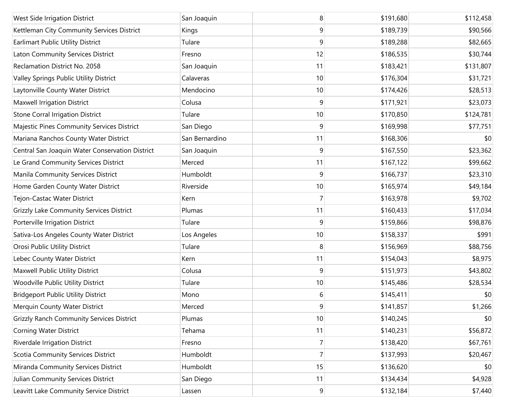| West Side Irrigation District                    | San Joaquin    | 8              | \$191,680 | \$112,458 |
|--------------------------------------------------|----------------|----------------|-----------|-----------|
| Kettleman City Community Services District       | Kings          | 9              | \$189,739 | \$90,566  |
| Earlimart Public Utility District                | Tulare         | 9              | \$189,288 | \$82,665  |
| Laton Community Services District                | Fresno         | 12             | \$186,535 | \$30,744  |
| Reclamation District No. 2058                    | San Joaquin    | 11             | \$183,421 | \$131,807 |
| Valley Springs Public Utility District           | Calaveras      | 10             | \$176,304 | \$31,721  |
| Laytonville County Water District                | Mendocino      | 10             | \$174,426 | \$28,513  |
| Maxwell Irrigation District                      | Colusa         | 9              | \$171,921 | \$23,073  |
| <b>Stone Corral Irrigation District</b>          | Tulare         | 10             | \$170,850 | \$124,781 |
| Majestic Pines Community Services District       | San Diego      | 9              | \$169,998 | \$77,751  |
| Mariana Ranchos County Water District            | San Bernardino | 11             | \$168,306 | \$0       |
| Central San Joaquin Water Conservation District  | San Joaquin    | 9              | \$167,550 | \$23,362  |
| Le Grand Community Services District             | Merced         | 11             | \$167,122 | \$99,662  |
| Manila Community Services District               | Humboldt       | 9              | \$166,737 | \$23,310  |
| Home Garden County Water District                | Riverside      | 10             | \$165,974 | \$49,184  |
| Tejon-Castac Water District                      | Kern           | 7              | \$163,978 | \$9,702   |
| <b>Grizzly Lake Community Services District</b>  | Plumas         | 11             | \$160,433 | \$17,034  |
| Porterville Irrigation District                  | Tulare         | 9              | \$159,866 | \$98,876  |
| Sativa-Los Angeles County Water District         | Los Angeles    | 10             | \$158,337 | \$991     |
| Orosi Public Utility District                    | Tulare         | 8              | \$156,969 | \$88,756  |
| Lebec County Water District                      | Kern           | 11             | \$154,043 | \$8,975   |
| Maxwell Public Utility District                  | Colusa         | 9              | \$151,973 | \$43,802  |
| Woodville Public Utility District                | Tulare         | 10             | \$145,486 | \$28,534  |
| <b>Bridgeport Public Utility District</b>        | Mono           | 6              | \$145,411 | \$0       |
| Merquin County Water District                    | Merced         | 9              | \$141,857 | \$1,266   |
| <b>Grizzly Ranch Community Services District</b> | Plumas         | 10             | \$140,245 | \$0       |
| <b>Corning Water District</b>                    | Tehama         | 11             | \$140,231 | \$56,872  |
| Riverdale Irrigation District                    | Fresno         | $\overline{7}$ | \$138,420 | \$67,761  |
| Scotia Community Services District               | Humboldt       | $\overline{7}$ | \$137,993 | \$20,467  |
| Miranda Community Services District              | Humboldt       | 15             | \$136,620 | \$0       |
| Julian Community Services District               | San Diego      | 11             | \$134,434 | \$4,928   |
| Leavitt Lake Community Service District          | Lassen         | $\overline{9}$ | \$132,184 | \$7,440   |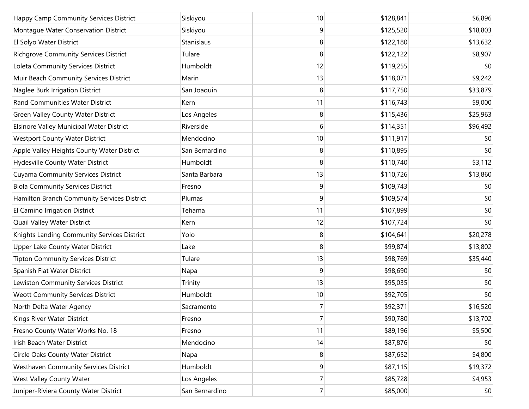| Happy Camp Community Services District       | Siskiyou       | 10             | \$128,841 | \$6,896  |
|----------------------------------------------|----------------|----------------|-----------|----------|
| Montague Water Conservation District         | Siskiyou       | 9              | \$125,520 | \$18,803 |
| El Solyo Water District                      | Stanislaus     | 8              | \$122,180 | \$13,632 |
| Richgrove Community Services District        | Tulare         | 8              | \$122,122 | \$8,907  |
| Loleta Community Services District           | Humboldt       | 12             | \$119,255 | \$0      |
| Muir Beach Community Services District       | Marin          | 13             | \$118,071 | \$9,242  |
| Naglee Burk Irrigation District              | San Joaquin    | 8              | \$117,750 | \$33,879 |
| <b>Rand Communities Water District</b>       | Kern           | 11             | \$116,743 | \$9,000  |
| <b>Green Valley County Water District</b>    | Los Angeles    | 8              | \$115,436 | \$25,963 |
| Elsinore Valley Municipal Water District     | Riverside      | 6              | \$114,351 | \$96,492 |
| <b>Westport County Water District</b>        | Mendocino      | 10             | \$111,917 | \$0      |
| Apple Valley Heights County Water District   | San Bernardino | 8              | \$110,895 | \$0      |
| Hydesville County Water District             | Humboldt       | 8              | \$110,740 | \$3,112  |
| <b>Cuyama Community Services District</b>    | Santa Barbara  | 13             | \$110,726 | \$13,860 |
| <b>Biola Community Services District</b>     | Fresno         | 9              | \$109,743 | \$0      |
| Hamilton Branch Community Services District  | Plumas         | 9              | \$109,574 | \$0      |
| El Camino Irrigation District                | Tehama         | 11             | \$107,899 | \$0      |
| Quail Valley Water District                  | Kern           | 12             | \$107,724 | \$0      |
| Knights Landing Community Services District  | Yolo           | 8              | \$104,641 | \$20,278 |
| Upper Lake County Water District             | Lake           | 8              | \$99,874  | \$13,802 |
| <b>Tipton Community Services District</b>    | Tulare         | 13             | \$98,769  | \$35,440 |
| Spanish Flat Water District                  | Napa           | 9              | \$98,690  | \$0      |
| Lewiston Community Services District         | Trinity        | 13             | \$95,035  | \$0      |
| <b>Weott Community Services District</b>     | Humboldt       | 10             | \$92,705  | \$0      |
| North Delta Water Agency                     | Sacramento     | 7              | \$92,371  | \$16,520 |
| Kings River Water District                   | Fresno         | 7              | \$90,780  | \$13,702 |
| Fresno County Water Works No. 18             | Fresno         | 11             | \$89,196  | \$5,500  |
| Irish Beach Water District                   | Mendocino      | 14             | \$87,876  | \$0      |
| Circle Oaks County Water District            | Napa           | 8              | \$87,652  | \$4,800  |
| <b>Westhaven Community Services District</b> | Humboldt       | 9              | \$87,115  | \$19,372 |
| West Valley County Water                     | Los Angeles    | $\overline{7}$ | \$85,728  | \$4,953  |
| Juniper-Riviera County Water District        | San Bernardino | $\overline{7}$ | \$85,000  | \$0      |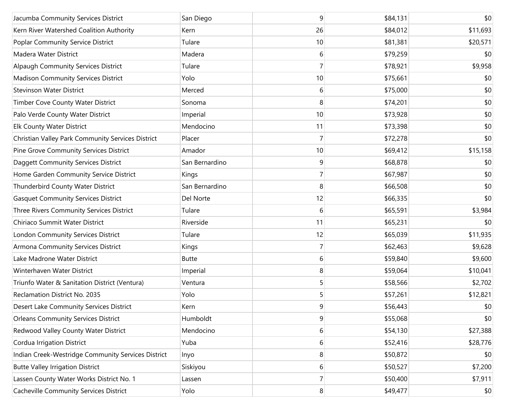| Jacumba Community Services District                | San Diego      | 9              | \$84,131 | \$0      |
|----------------------------------------------------|----------------|----------------|----------|----------|
| Kern River Watershed Coalition Authority           | Kern           | 26             | \$84,012 | \$11,693 |
| Poplar Community Service District                  | Tulare         | 10             | \$81,381 | \$20,571 |
| Madera Water District                              | Madera         | 6              | \$79,259 | \$0      |
| Alpaugh Community Services District                | Tulare         | 7              | \$78,921 | \$9,958  |
| Madison Community Services District                | Yolo           | 10             | \$75,661 | \$0      |
| <b>Stevinson Water District</b>                    | Merced         | 6              | \$75,000 | \$0      |
| Timber Cove County Water District                  | Sonoma         | 8              | \$74,201 | \$0      |
| Palo Verde County Water District                   | Imperial       | 10             | \$73,928 | \$0      |
| <b>Elk County Water District</b>                   | Mendocino      | 11             | \$73,398 | \$0      |
| Christian Valley Park Community Services District  | Placer         | 7              | \$72,278 | \$0      |
| Pine Grove Community Services District             | Amador         | 10             | \$69,412 | \$15,158 |
| Daggett Community Services District                | San Bernardino | 9              | \$68,878 | \$0      |
| Home Garden Community Service District             | Kings          | 7              | \$67,987 | \$0      |
| Thunderbird County Water District                  | San Bernardino | 8              | \$66,508 | \$0      |
| <b>Gasquet Community Services District</b>         | Del Norte      | 12             | \$66,335 | \$0      |
| Three Rivers Community Services District           | Tulare         | 6              | \$65,591 | \$3,984  |
| Chiriaco Summit Water District                     | Riverside      | 11             | \$65,231 | \$0      |
| London Community Services District                 | Tulare         | 12             | \$65,039 | \$11,935 |
| Armona Community Services District                 | Kings          | 7              | \$62,463 | \$9,628  |
| Lake Madrone Water District                        | <b>Butte</b>   | 6              | \$59,840 | \$9,600  |
| Winterhaven Water District                         | Imperial       | 8              | \$59,064 | \$10,041 |
| Triunfo Water & Sanitation District (Ventura)      | Ventura        | 5              | \$58,566 | \$2,702  |
| Reclamation District No. 2035                      | Yolo           | 5              | \$57,261 | \$12,821 |
| Desert Lake Community Services District            | Kern           | 9              | \$56,443 | \$0      |
| <b>Orleans Community Services District</b>         | Humboldt       | 9              | \$55,068 | \$0      |
| Redwood Valley County Water District               | Mendocino      | 6              | \$54,130 | \$27,388 |
| Cordua Irrigation District                         | Yuba           | 6              | \$52,416 | \$28,776 |
| Indian Creek-Westridge Community Services District | Inyo           | 8              | \$50,872 | \$0      |
| <b>Butte Valley Irrigation District</b>            | Siskiyou       | 6              | \$50,527 | \$7,200  |
| Lassen County Water Works District No. 1           | Lassen         | $\overline{7}$ | \$50,400 | \$7,911  |
| Cacheville Community Services District             | Yolo           | 8              | \$49,477 | \$0      |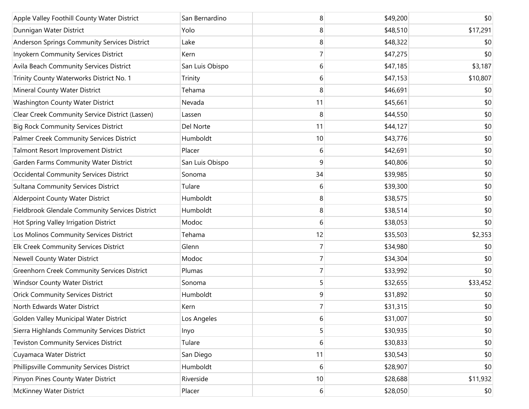| Apple Valley Foothill County Water District        | San Bernardino  | 8              | \$49,200 | \$0      |
|----------------------------------------------------|-----------------|----------------|----------|----------|
| Dunnigan Water District                            | Yolo            | 8              | \$48,510 | \$17,291 |
| Anderson Springs Community Services District       | Lake            | 8              | \$48,322 | \$0      |
| Inyokern Community Services District               | Kern            | 7              | \$47,275 | \$0      |
| Avila Beach Community Services District            | San Luis Obispo | 6              | \$47,185 | \$3,187  |
| Trinity County Waterworks District No. 1           | Trinity         | 6              | \$47,153 | \$10,807 |
| Mineral County Water District                      | Tehama          | 8              | \$46,691 | \$0      |
| Washington County Water District                   | Nevada          | 11             | \$45,661 | \$0      |
| Clear Creek Community Service District (Lassen)    | Lassen          | 8              | \$44,550 | \$0      |
| <b>Big Rock Community Services District</b>        | Del Norte       | 11             | \$44,127 | \$0      |
| Palmer Creek Community Services District           | Humboldt        | 10             | \$43,776 | \$0      |
| Talmont Resort Improvement District                | Placer          | 6              | \$42,691 | \$0      |
| Garden Farms Community Water District              | San Luis Obispo | 9              | \$40,806 | \$0      |
| <b>Occidental Community Services District</b>      | Sonoma          | 34             | \$39,985 | \$0      |
| <b>Sultana Community Services District</b>         | Tulare          | 6              | \$39,300 | \$0      |
| Alderpoint County Water District                   | Humboldt        | 8              | \$38,575 | \$0      |
| Fieldbrook Glendale Community Services District    | Humboldt        | 8              | \$38,514 | \$0      |
| Hot Spring Valley Irrigation District              | Modoc           | 6              | \$38,053 | \$0      |
| Los Molinos Community Services District            | Tehama          | 12             | \$35,503 | \$2,353  |
| Elk Creek Community Services District              | Glenn           | 7              | \$34,980 | \$0      |
| Newell County Water District                       | Modoc           | 7              | \$34,304 | \$0      |
| <b>Greenhorn Creek Community Services District</b> | Plumas          | 7              | \$33,992 | \$0      |
| <b>Windsor County Water District</b>               | Sonoma          | 5              | \$32,655 | \$33,452 |
| <b>Orick Community Services District</b>           | Humboldt        | 9              | \$31,892 | \$0      |
| North Edwards Water District                       | Kern            | $\overline{7}$ | \$31,315 | \$0      |
| Golden Valley Municipal Water District             | Los Angeles     | 6              | \$31,007 | \$0      |
| Sierra Highlands Community Services District       | Inyo            | 5              | \$30,935 | \$0      |
| <b>Teviston Community Services District</b>        | Tulare          | 6              | \$30,833 | \$0      |
| Cuyamaca Water District                            | San Diego       | 11             | \$30,543 | \$0      |
| Phillipsville Community Services District          | Humboldt        | 6              | \$28,907 | \$0      |
| Pinyon Pines County Water District                 | Riverside       | 10             | \$28,688 | \$11,932 |
| <b>McKinney Water District</b>                     | Placer          | $6 \mid$       | \$28,050 | \$0      |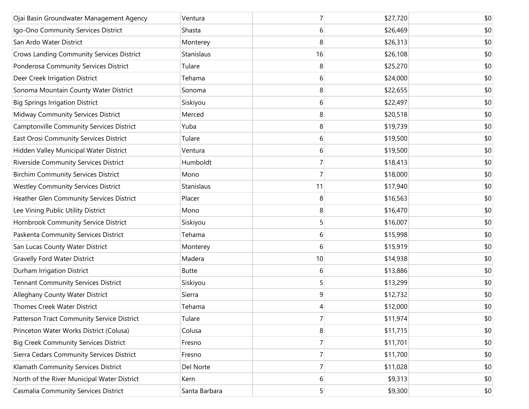| Ojai Basin Groundwater Management Agency         | Ventura       | 7  | \$27,720 | \$0 |
|--------------------------------------------------|---------------|----|----------|-----|
| Igo-Ono Community Services District              | Shasta        | 6  | \$26,469 | \$0 |
| San Ardo Water District                          | Monterey      | 8  | \$26,313 | \$0 |
| <b>Crows Landing Community Services District</b> | Stanislaus    | 16 | \$26,108 | \$0 |
| Ponderosa Community Services District            | Tulare        | 8  | \$25,270 | \$0 |
| Deer Creek Irrigation District                   | Tehama        | 6  | \$24,000 | \$0 |
| Sonoma Mountain County Water District            | Sonoma        | 8  | \$22,655 | \$0 |
| <b>Big Springs Irrigation District</b>           | Siskiyou      | 6  | \$22,497 | \$0 |
| Midway Community Services District               | Merced        | 8  | \$20,518 | \$0 |
| Camptonville Community Services District         | Yuba          | 8  | \$19,739 | \$0 |
| East Orosi Community Services District           | Tulare        | 6  | \$19,500 | \$0 |
| Hidden Valley Municipal Water District           | Ventura       | 6  | \$19,500 | \$0 |
| Riverside Community Services District            | Humboldt      | 7  | \$18,413 | \$0 |
| <b>Birchim Community Services District</b>       | Mono          | 7  | \$18,000 | \$0 |
| <b>Westley Community Services District</b>       | Stanislaus    | 11 | \$17,940 | \$0 |
| Heather Glen Community Services District         | Placer        | 8  | \$16,563 | \$0 |
| Lee Vining Public Utility District               | Mono          | 8  | \$16,470 | \$0 |
| Hornbrook Community Service District             | Siskiyou      | 5  | \$16,007 | \$0 |
| Paskenta Community Services District             | Tehama        | 6  | \$15,998 | \$0 |
| San Lucas County Water District                  | Monterey      | 6  | \$15,919 | \$0 |
| <b>Gravelly Ford Water District</b>              | Madera        | 10 | \$14,938 | \$0 |
| Durham Irrigation District                       | <b>Butte</b>  | 6  | \$13,886 | \$0 |
| <b>Tennant Community Services District</b>       | Siskiyou      | 5  | \$13,299 | \$0 |
| Alleghany County Water District                  | Sierra        | 9  | \$12,732 | \$0 |
| <b>Thomes Creek Water District</b>               | Tehama        | 4  | \$12,000 | \$0 |
| Patterson Tract Community Service District       | Tulare        | 7  | \$11,974 | \$0 |
| Princeton Water Works District (Colusa)          | Colusa        | 8  | \$11,715 | \$0 |
| <b>Big Creek Community Services District</b>     | Fresno        | 7  | \$11,701 | \$0 |
| Sierra Cedars Community Services District        | Fresno        | 7  | \$11,700 | \$0 |
| Klamath Community Services District              | Del Norte     | 7  | \$11,028 | \$0 |
| North of the River Municipal Water District      | Kern          | 6  | \$9,313  | \$0 |
| Casmalia Community Services District             | Santa Barbara | 5  | \$9,300  | \$0 |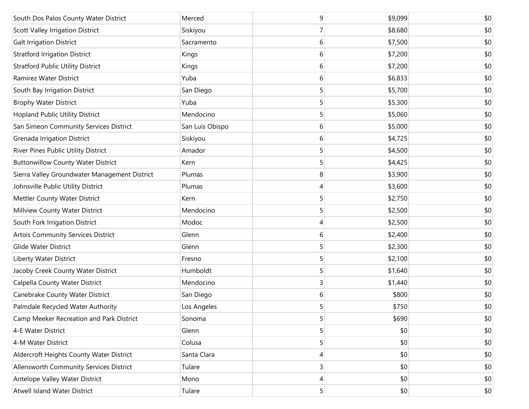| South Dos Palos County Water District         | Merced          | 9 | \$9,099 | \$0 |
|-----------------------------------------------|-----------------|---|---------|-----|
| <b>Scott Valley Irrigation District</b>       | Siskiyou        | 7 | \$8,680 | \$0 |
| <b>Galt Irrigation District</b>               | Sacramento      | 6 | \$7,500 | \$0 |
| <b>Stratford Irrigation District</b>          | Kings           | 6 | \$7,200 | \$0 |
| <b>Stratford Public Utility District</b>      | Kings           | 6 | \$7,200 | \$0 |
| Ramirez Water District                        | Yuba            | 6 | \$6,833 | \$0 |
| South Bay Irrigation District                 | San Diego       | 5 | \$5,700 | \$0 |
| <b>Brophy Water District</b>                  | Yuba            | 5 | \$5,300 | \$0 |
| <b>Hopland Public Utility District</b>        | Mendocino       | 5 | \$5,060 | \$0 |
| San Simeon Community Services District        | San Luis Obispo | 6 | \$5,000 | \$0 |
| <b>Grenada Irrigation District</b>            | Siskiyou        | 6 | \$4,725 | \$0 |
| River Pines Public Utility District           | Amador          | 5 | \$4,500 | \$0 |
| <b>Buttonwillow County Water District</b>     | Kern            | 5 | \$4,425 | \$0 |
| Sierra Valley Groundwater Management District | Plumas          | 8 | \$3,900 | \$0 |
| Johnsville Public Utility District            | Plumas          | 4 | \$3,600 | \$0 |
| Mettler County Water District                 | Kern            | 5 | \$2,750 | \$0 |
| Millview County Water District                | Mendocino       | 5 | \$2,500 | \$0 |
| South Fork Irrigation District                | Modoc           | 4 | \$2,500 | \$0 |
| <b>Artois Community Services District</b>     | Glenn           | 6 | \$2,400 | \$0 |
| <b>Glide Water District</b>                   | Glenn           | 5 | \$2,300 | \$0 |
| Liberty Water District                        | Fresno          | 5 | \$2,100 | \$0 |
| Jacoby Creek County Water District            | Humboldt        | 5 | \$1,640 | \$0 |
| Calpella County Water District                | Mendocino       | 3 | \$1,440 | \$0 |
| Canebrake County Water District               | San Diego       | 6 | \$800   | \$0 |
| Palmdale Recycled Water Authority             | Los Angeles     | 5 | \$750   | \$0 |
| Camp Meeker Recreation and Park District      | Sonoma          | 5 | \$690   | \$0 |
| 4-E Water District                            | Glenn           | 5 | \$0     | \$0 |
| 4-M Water District                            | Colusa          | 5 | \$0     | \$0 |
| Aldercroft Heights County Water District      | Santa Clara     | 4 | \$0     | \$0 |
| Allensworth Community Services District       | Tulare          | 3 | \$0     | \$0 |
| Antelope Valley Water District                | Mono            | 4 | \$0     | \$0 |
| <b>Atwell Island Water District</b>           | Tulare          | 5 | \$0     | \$0 |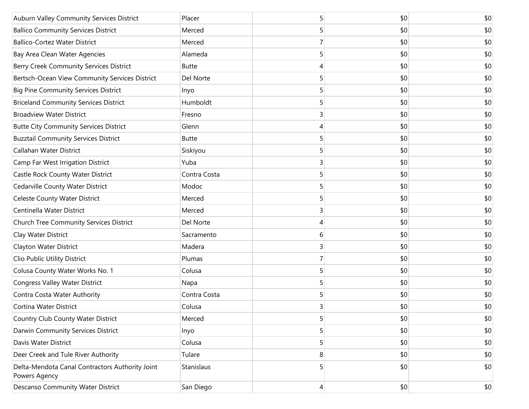| Auburn Valley Community Services District                        | Placer       | 5 | \$0 | \$0 |
|------------------------------------------------------------------|--------------|---|-----|-----|
| <b>Ballico Community Services District</b>                       | Merced       | 5 | \$0 | \$0 |
| <b>Ballico-Cortez Water District</b>                             | Merced       |   | \$0 | \$0 |
| Bay Area Clean Water Agencies                                    | Alameda      | 5 | \$0 | \$0 |
| Berry Creek Community Services District                          | <b>Butte</b> | 4 | \$0 | \$0 |
| Bertsch-Ocean View Community Services District                   | Del Norte    | 5 | \$0 | \$0 |
| <b>Big Pine Community Services District</b>                      | Inyo         | 5 | \$0 | \$0 |
| <b>Briceland Community Services District</b>                     | Humboldt     | 5 | \$0 | \$0 |
| <b>Broadview Water District</b>                                  | Fresno       | 3 | \$0 | \$0 |
| <b>Butte City Community Services District</b>                    | Glenn        | 4 | \$0 | \$0 |
| <b>Buzztail Community Services District</b>                      | <b>Butte</b> | 5 | \$0 | \$0 |
| Callahan Water District                                          | Siskiyou     | 5 | \$0 | \$0 |
| Camp Far West Irrigation District                                | Yuba         | 3 | \$0 | \$0 |
| Castle Rock County Water District                                | Contra Costa | 5 | \$0 | \$0 |
| Cedarville County Water District                                 | Modoc        | 5 | \$0 | \$0 |
| <b>Celeste County Water District</b>                             | Merced       | 5 | \$0 | \$0 |
| Centinella Water District                                        | Merced       | 3 | \$0 | \$0 |
| Church Tree Community Services District                          | Del Norte    | 4 | \$0 | \$0 |
| Clay Water District                                              | Sacramento   | 6 | \$0 | \$0 |
| Clayton Water District                                           | Madera       | 3 | \$0 | \$0 |
| Clio Public Utility District                                     | Plumas       | 7 | \$0 | \$0 |
| Colusa County Water Works No. 1                                  | Colusa       | 5 | \$0 | \$0 |
| Congress Valley Water District                                   | Napa         | 5 | \$0 | \$0 |
| Contra Costa Water Authority                                     | Contra Costa | 5 | \$0 | \$0 |
| Cortina Water District                                           | Colusa       | 3 | \$0 | \$0 |
| Country Club County Water District                               | Merced       | 5 | \$0 | \$0 |
| Darwin Community Services District                               | Inyo         | 5 | \$0 | \$0 |
| Davis Water District                                             | Colusa       | 5 | \$0 | \$0 |
| Deer Creek and Tule River Authority                              | Tulare       | 8 | \$0 | \$0 |
| Delta-Mendota Canal Contractors Authority Joint<br>Powers Agency | Stanislaus   | 5 | \$0 | \$0 |
| Descanso Community Water District                                | San Diego    | 4 | \$0 | \$0 |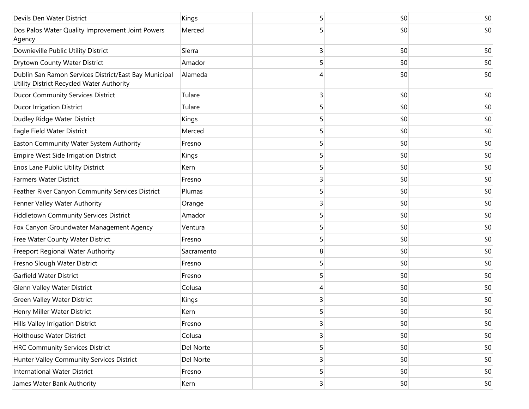| Devils Den Water District                                                                          | Kings      |                         | \$0 | \$0   |
|----------------------------------------------------------------------------------------------------|------------|-------------------------|-----|-------|
| Dos Palos Water Quality Improvement Joint Powers<br>Agency                                         | Merced     |                         | \$0 | \$0   |
| Downieville Public Utility District                                                                | Sierra     | 3                       | \$0 | \$0   |
| Drytown County Water District                                                                      | Amador     | 5                       | \$0 | \$0   |
| Dublin San Ramon Services District/East Bay Municipal<br>Utility District Recycled Water Authority | Alameda    |                         | \$0 | \$0   |
| <b>Ducor Community Services District</b>                                                           | Tulare     | 3                       | \$0 | \$0   |
| <b>Ducor Irrigation District</b>                                                                   | Tulare     | 5                       | \$0 | \$0   |
| Dudley Ridge Water District                                                                        | Kings      | 5                       | \$0 | \$0   |
| Eagle Field Water District                                                                         | Merced     | 5                       | \$0 | \$0   |
| Easton Community Water System Authority                                                            | Fresno     | 5                       | \$0 | \$0   |
| Empire West Side Irrigation District                                                               | Kings      | 5                       | \$0 | \$0   |
| Enos Lane Public Utility District                                                                  | Kern       | 5                       | \$0 | \$0   |
| <b>Farmers Water District</b>                                                                      | Fresno     | 3                       | \$0 | \$0   |
| Feather River Canyon Community Services District                                                   | Plumas     | 5                       | \$0 | \$0   |
| Fenner Valley Water Authority                                                                      | Orange     | 3                       | \$0 | \$0   |
| <b>Fiddletown Community Services District</b>                                                      | Amador     | 5                       | \$0 | \$0   |
| Fox Canyon Groundwater Management Agency                                                           | Ventura    | 5                       | \$0 | \$0   |
| Free Water County Water District                                                                   | Fresno     | 5                       | \$0 | \$0   |
| Freeport Regional Water Authority                                                                  | Sacramento | 8                       | \$0 | \$0   |
| Fresno Slough Water District                                                                       | Fresno     | 5                       | \$0 | \$0   |
| <b>Garfield Water District</b>                                                                     | Fresno     | 5                       | \$0 | \$0   |
| Glenn Valley Water District                                                                        | Colusa     | 4                       | \$0 | \$0   |
| <b>Green Valley Water District</b>                                                                 | Kings      | 3                       | \$0 | \$0   |
| Henry Miller Water District                                                                        | Kern       | 5                       | 0   | $$0$$ |
| Hills Valley Irrigation District                                                                   | Fresno     | 3                       | \$0 | \$0   |
| Holthouse Water District                                                                           | Colusa     | 3                       | \$0 | \$0   |
| <b>HRC Community Services District</b>                                                             | Del Norte  | 5                       | \$0 | \$0   |
| Hunter Valley Community Services District                                                          | Del Norte  | 3                       | \$0 | \$0   |
| <b>International Water District</b>                                                                | Fresno     | 5                       | \$0 | \$0   |
| James Water Bank Authority                                                                         | Kern       | $\overline{\mathbf{3}}$ | \$0 | \$0   |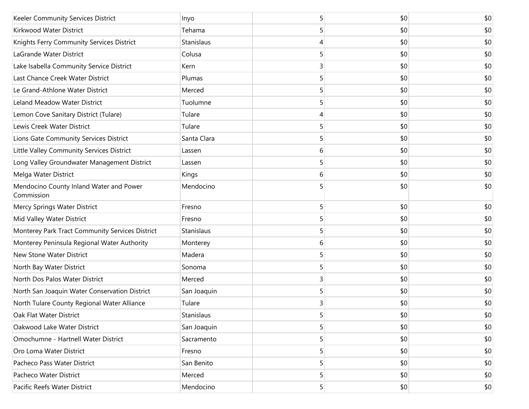| Keeler Community Services District                    | Inyo        | 5 | \$0 | \$0 |
|-------------------------------------------------------|-------------|---|-----|-----|
| Kirkwood Water District                               | Tehama      | 5 | \$0 | \$0 |
| Knights Ferry Community Services District             | Stanislaus  | 4 | \$0 | \$0 |
| LaGrande Water District                               | Colusa      | 5 | \$0 | \$0 |
| Lake Isabella Community Service District              | Kern        | 3 | \$0 | \$0 |
| Last Chance Creek Water District                      | Plumas      | 5 | \$0 | \$0 |
| Le Grand-Athlone Water District                       | Merced      | 5 | \$0 | \$0 |
| Leland Meadow Water District                          | Tuolumne    | 5 | \$0 | \$0 |
| Lemon Cove Sanitary District (Tulare)                 | Tulare      | 4 | \$0 | \$0 |
| Lewis Creek Water District                            | Tulare      | 5 | \$0 | \$0 |
| Lions Gate Community Services District                | Santa Clara | 5 | \$0 | \$0 |
| Little Valley Community Services District             | Lassen      | 6 | \$0 | \$0 |
| Long Valley Groundwater Management District           | Lassen      | 5 | \$0 | \$0 |
| Melga Water District                                  | Kings       | 6 | \$0 | \$0 |
| Mendocino County Inland Water and Power<br>Commission | Mendocino   | 5 | \$0 | \$0 |
| Mercy Springs Water District                          | Fresno      | 5 | \$0 | \$0 |
| Mid Valley Water District                             | Fresno      | 5 | \$0 | \$0 |
| Monterey Park Tract Community Services District       | Stanislaus  | 5 | \$0 | \$0 |
| Monterey Peninsula Regional Water Authority           | Monterey    | 6 | \$0 | \$0 |
| New Stone Water District                              | Madera      | 5 | \$0 | \$0 |
| North Bay Water District                              | Sonoma      | 5 | \$0 | \$0 |
| North Dos Palos Water District                        | Merced      | 3 | \$0 | \$0 |
| North San Joaquin Water Conservation District         | San Joaquin | 5 | \$0 | \$0 |
| North Tulare County Regional Water Alliance           | Tulare      | 3 | \$0 | \$0 |
| Oak Flat Water District                               | Stanislaus  | 5 | \$0 | \$0 |
| Oakwood Lake Water District                           | San Joaquin | 5 | \$0 | \$0 |
| Omochumne - Hartnell Water District                   | Sacramento  | 5 | \$0 | \$0 |
| Oro Loma Water District                               | Fresno      | 5 | \$0 | \$0 |
| Pacheco Pass Water District                           | San Benito  | 5 | \$0 | \$0 |
| Pacheco Water District                                | Merced      | 5 | \$0 | \$0 |
| Pacific Reefs Water District                          | Mendocino   | 5 | \$0 | \$0 |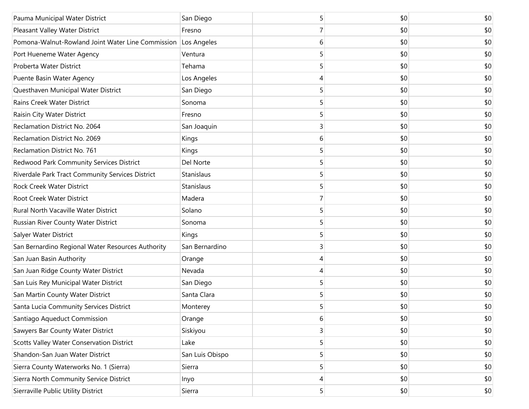| Pauma Municipal Water District                                | San Diego       | 5 | \$0 | \$0 |
|---------------------------------------------------------------|-----------------|---|-----|-----|
| Pleasant Valley Water District                                | Fresno          | 7 | \$0 | \$0 |
| Pomona-Walnut-Rowland Joint Water Line Commission Los Angeles |                 | 6 | \$0 | \$0 |
| Port Hueneme Water Agency                                     | Ventura         | 5 | \$0 | \$0 |
| Proberta Water District                                       | Tehama          | 5 | \$0 | \$0 |
| Puente Basin Water Agency                                     | Los Angeles     | 4 | \$0 | \$0 |
| Questhaven Municipal Water District                           | San Diego       | 5 | \$0 | \$0 |
| Rains Creek Water District                                    | Sonoma          | 5 | \$0 | \$0 |
| Raisin City Water District                                    | Fresno          | 5 | \$0 | \$0 |
| Reclamation District No. 2064                                 | San Joaquin     | 3 | \$0 | \$0 |
| Reclamation District No. 2069                                 | Kings           | 6 | \$0 | \$0 |
| Reclamation District No. 761                                  | Kings           | 5 | \$0 | \$0 |
| Redwood Park Community Services District                      | Del Norte       | 5 | \$0 | \$0 |
| Riverdale Park Tract Community Services District              | Stanislaus      | 5 | \$0 | \$0 |
| <b>Rock Creek Water District</b>                              | Stanislaus      | 5 | \$0 | \$0 |
| Root Creek Water District                                     | Madera          | 7 | \$0 | \$0 |
| Rural North Vacaville Water District                          | Solano          | 5 | \$0 | \$0 |
| Russian River County Water District                           | Sonoma          | 5 | \$0 | \$0 |
| Salyer Water District                                         | Kings           | 5 | \$0 | \$0 |
| San Bernardino Regional Water Resources Authority             | San Bernardino  | 3 | \$0 | \$0 |
| San Juan Basin Authority                                      | Orange          | 4 | \$0 | \$0 |
| San Juan Ridge County Water District                          | Nevada          | 4 | \$0 | \$0 |
| San Luis Rey Municipal Water District                         | San Diego       | 5 | \$0 | \$0 |
| San Martin County Water District                              | Santa Clara     | 5 | \$0 | \$0 |
| Santa Lucia Community Services District                       | Monterey        | 5 | \$0 | \$0 |
| Santiago Aqueduct Commission                                  | Orange          | 6 | \$0 | \$0 |
| Sawyers Bar County Water District                             | Siskiyou        | 3 | \$0 | \$0 |
| <b>Scotts Valley Water Conservation District</b>              | Lake            | 5 | \$0 | \$0 |
| Shandon-San Juan Water District                               | San Luis Obispo | 5 | \$0 | \$0 |
| Sierra County Waterworks No. 1 (Sierra)                       | Sierra          | 5 | \$0 | \$0 |
| Sierra North Community Service District                       | Inyo            | 4 | \$0 | \$0 |
| Sierraville Public Utility District                           | Sierra          | 5 | \$0 | \$0 |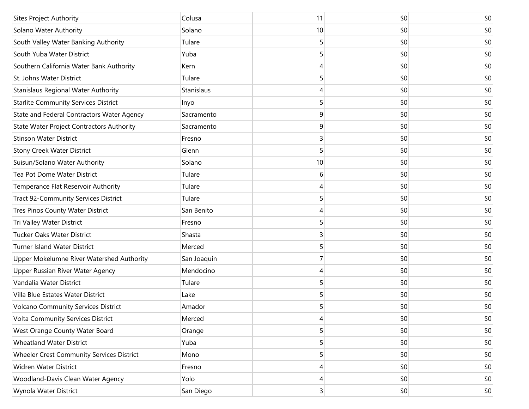| <b>Sites Project Authority</b>                   | Colusa      | 11 | \$0 | \$0 |
|--------------------------------------------------|-------------|----|-----|-----|
| Solano Water Authority                           | Solano      | 10 | \$0 | \$0 |
| South Valley Water Banking Authority             | Tulare      | 5  | \$0 | \$0 |
| South Yuba Water District                        | Yuba        | 5  | \$0 | \$0 |
| Southern California Water Bank Authority         | Kern        | 4  | \$0 | \$0 |
| St. Johns Water District                         | Tulare      | 5  | \$0 | \$0 |
| Stanislaus Regional Water Authority              | Stanislaus  | 4  | \$0 | \$0 |
| <b>Starlite Community Services District</b>      | Inyo        | 5  | \$0 | \$0 |
| State and Federal Contractors Water Agency       | Sacramento  | 9  | \$0 | \$0 |
| <b>State Water Project Contractors Authority</b> | Sacramento  | 9  | \$0 | \$0 |
| <b>Stinson Water District</b>                    | Fresno      | 3  | \$0 | \$0 |
| <b>Stony Creek Water District</b>                | Glenn       | 5  | \$0 | \$0 |
| Suisun/Solano Water Authority                    | Solano      | 10 | \$0 | \$0 |
| Tea Pot Dome Water District                      | Tulare      | 6  | \$0 | \$0 |
| Temperance Flat Reservoir Authority              | Tulare      | 4  | \$0 | \$0 |
| <b>Tract 92-Community Services District</b>      | Tulare      | 5  | \$0 | \$0 |
| Tres Pinos County Water District                 | San Benito  | 4  | \$0 | \$0 |
| Tri Valley Water District                        | Fresno      | 5  | \$0 | \$0 |
| Tucker Oaks Water District                       | Shasta      | 3  | \$0 | \$0 |
| Turner Island Water District                     | Merced      | 5  | \$0 | \$0 |
| Upper Mokelumne River Watershed Authority        | San Joaquin | 7  | \$0 | \$0 |
| Upper Russian River Water Agency                 | Mendocino   | 4  | \$0 | \$0 |
| Vandalia Water District                          | Tulare      | 5  | \$0 | \$0 |
| Villa Blue Estates Water District                | Lake        | 5  | \$0 | \$0 |
| <b>Volcano Community Services District</b>       | Amador      | 5  | \$0 | \$0 |
| Volta Community Services District                | Merced      | 4  | \$0 | \$0 |
| West Orange County Water Board                   | Orange      | 5  | \$0 | \$0 |
| <b>Wheatland Water District</b>                  | Yuba        | 5  | \$0 | \$0 |
| Wheeler Crest Community Services District        | Mono        | 5  | \$0 | \$0 |
| Widren Water District                            | Fresno      | 4  | \$0 | \$0 |
| Woodland-Davis Clean Water Agency                | Yolo        | 4  | \$0 | \$0 |
| Wynola Water District                            | San Diego   | 3  | \$0 | \$0 |